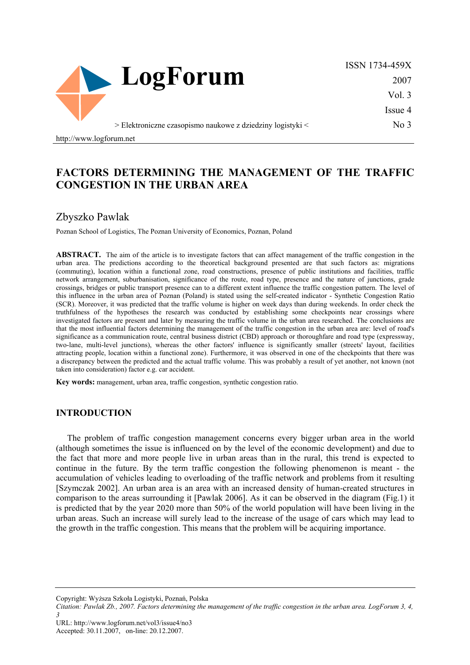

ISSN 1734-459X 2007 Vol. 3 Issue 4 No 3

> Elektroniczne czasopismo naukowe z dziedziny logistyki <

http://www.logforum.net

# **FACTORS DETERMINING THE MANAGEMENT OF THE TRAFFIC CONGESTION IN THE URBAN AREA**

## Zbyszko Pawlak

Poznan School of Logistics, The Poznan University of Economics, Poznan, Poland

**ABSTRACT.** The aim of the article is to investigate factors that can affect management of the traffic congestion in the urban area. The predictions according to the theoretical background presented are that such factors as: migrations (commuting), location within a functional zone, road constructions, presence of public institutions and facilities, traffic network arrangement, suburbanisation, significance of the route, road type, presence and the nature of junctions, grade crossings, bridges or public transport presence can to a different extent influence the traffic congestion pattern. The level of this influence in the urban area of Poznan (Poland) is stated using the self-created indicator - Synthetic Congestion Ratio (SCR). Moreover, it was predicted that the traffic volume is higher on week days than during weekends. In order check the truthfulness of the hypotheses the research was conducted by establishing some checkpoints near crossings where investigated factors are present and later by measuring the traffic volume in the urban area researched. The conclusions are that the most influential factors determining the management of the traffic congestion in the urban area are: level of road's significance as a communication route, central business district (CBD) approach or thoroughfare and road type (expressway, two-lane, multi-level junctions), whereas the other factors' influence is significantly smaller (streets' layout, facilities attracting people, location within a functional zone). Furthermore, it was observed in one of the checkpoints that there was a discrepancy between the predicted and the actual traffic volume. This was probably a result of yet another, not known (not taken into consideration) factor e.g. car accident.

**Key words:** management, urban area, traffic congestion, synthetic congestion ratio.

#### **INTRODUCTION**

The problem of traffic congestion management concerns every bigger urban area in the world (although sometimes the issue is influenced on by the level of the economic development) and due to the fact that more and more people live in urban areas than in the rural, this trend is expected to continue in the future. By the term traffic congestion the following phenomenon is meant - the accumulation of vehicles leading to overloading of the traffic network and problems from it resulting [Szymczak 2002]. An urban area is an area with an increased density of human-created structures in comparison to the areas surrounding it [Pawlak 2006]. As it can be observed in the diagram (Fig.1) it is predicted that by the year 2020 more than 50% of the world population will have been living in the urban areas. Such an increase will surely lead to the increase of the usage of cars which may lead to the growth in the traffic congestion. This means that the problem will be acquiring importance.

Copyright: Wyższa Szkoła Logistyki, Poznań, Polska

*Citation: Pawlak Zb., 2007. Factors determining the management of the traffic congestion in the urban area. LogForum 3, 4, 3* 

URL: http://www.logforum.net/vol3/issue4/no3 Accepted: 30.11.2007, on-line: 20.12.2007.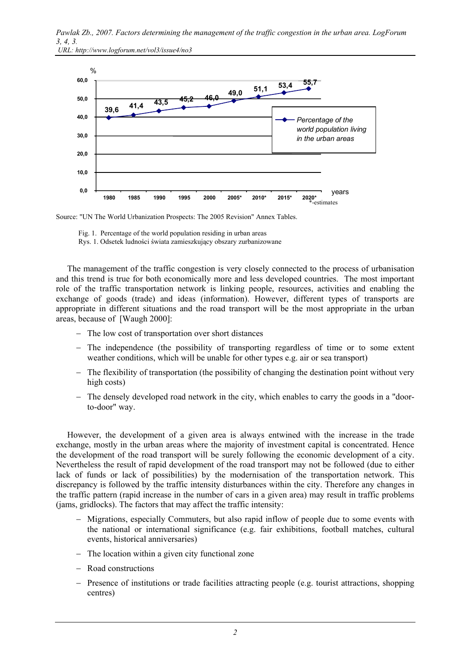

 *URL: http://www.logforum.net/vol3/issue4/no3* 



Source: "UN The World Urbanization Prospects: The 2005 Revision" Annex Tables.

Fig. 1. Percentage of the world population residing in urban areas

Rys. 1. Odsetek ludności świata zamieszkujący obszary zurbanizowane

The management of the traffic congestion is very closely connected to the process of urbanisation and this trend is true for both economically more and less developed countries. The most important role of the traffic transportation network is linking people, resources, activities and enabling the exchange of goods (trade) and ideas (information). However, different types of transports are appropriate in different situations and the road transport will be the most appropriate in the urban areas, because of [Waugh 2000]:

- − The low cost of transportation over short distances
- − The independence (the possibility of transporting regardless of time or to some extent weather conditions, which will be unable for other types e.g. air or sea transport)
- − The flexibility of transportation (the possibility of changing the destination point without very high costs)
- The densely developed road network in the city, which enables to carry the goods in a "doorto-door" way.

However, the development of a given area is always entwined with the increase in the trade exchange, mostly in the urban areas where the majority of investment capital is concentrated. Hence the development of the road transport will be surely following the economic development of a city. Nevertheless the result of rapid development of the road transport may not be followed (due to either lack of funds or lack of possibilities) by the modernisation of the transportation network. This discrepancy is followed by the traffic intensity disturbances within the city. Therefore any changes in the traffic pattern (rapid increase in the number of cars in a given area) may result in traffic problems (jams, gridlocks). The factors that may affect the traffic intensity:

- − Migrations, especially Commuters, but also rapid inflow of people due to some events with the national or international significance (e.g. fair exhibitions, football matches, cultural events, historical anniversaries)
- − The location within a given city functional zone
- − Road constructions
- − Presence of institutions or trade facilities attracting people (e.g. tourist attractions, shopping centres)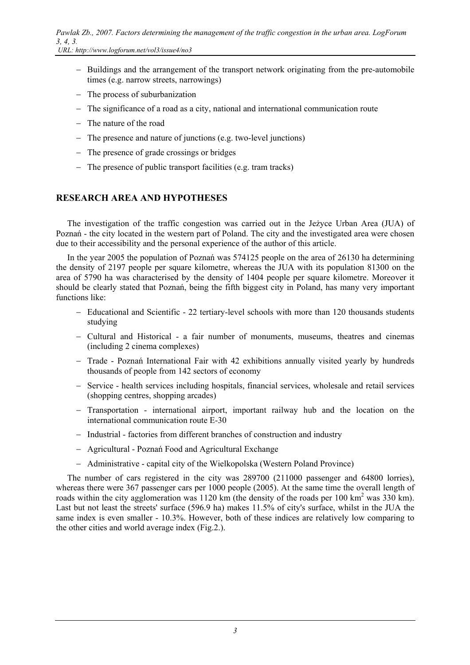− Buildings and the arrangement of the transport network originating from the pre-automobile times (e.g. narrow streets, narrowings)

- − The process of suburbanization
- − The significance of a road as a city, national and international communication route
- − The nature of the road
- − The presence and nature of junctions (e.g. two-level junctions)
- − The presence of grade crossings or bridges
- − The presence of public transport facilities (e.g. tram tracks)

### **RESEARCH AREA AND HYPOTHESES**

The investigation of the traffic congestion was carried out in the Jeżyce Urban Area (JUA) of Poznań - the city located in the western part of Poland. The city and the investigated area were chosen due to their accessibility and the personal experience of the author of this article.

In the year 2005 the population of Poznań was 574125 people on the area of 26130 ha determining the density of 2197 people per square kilometre, whereas the JUA with its population 81300 on the area of 5790 ha was characterised by the density of 1404 people per square kilometre. Moreover it should be clearly stated that Poznań, being the fifth biggest city in Poland, has many very important functions like:

- − Educational and Scientific 22 tertiary-level schools with more than 120 thousands students studying
- − Cultural and Historical a fair number of monuments, museums, theatres and cinemas (including 2 cinema complexes)
- − Trade Poznań International Fair with 42 exhibitions annually visited yearly by hundreds thousands of people from 142 sectors of economy
- − Service health services including hospitals, financial services, wholesale and retail services (shopping centres, shopping arcades)
- − Transportation international airport, important railway hub and the location on the international communication route E-30
- − Industrial factories from different branches of construction and industry
- − Agricultural Poznań Food and Agricultural Exchange
- − Administrative capital city of the Wielkopolska (Western Poland Province)

The number of cars registered in the city was 289700 (211000 passenger and 64800 lorries), whereas there were 367 passenger cars per 1000 people (2005). At the same time the overall length of roads within the city agglomeration was 1120 km (the density of the roads per 100 km<sup>2</sup> was 330 km). Last but not least the streets' surface (596.9 ha) makes 11.5% of city's surface, whilst in the JUA the same index is even smaller - 10.3%. However, both of these indices are relatively low comparing to the other cities and world average index (Fig.2.).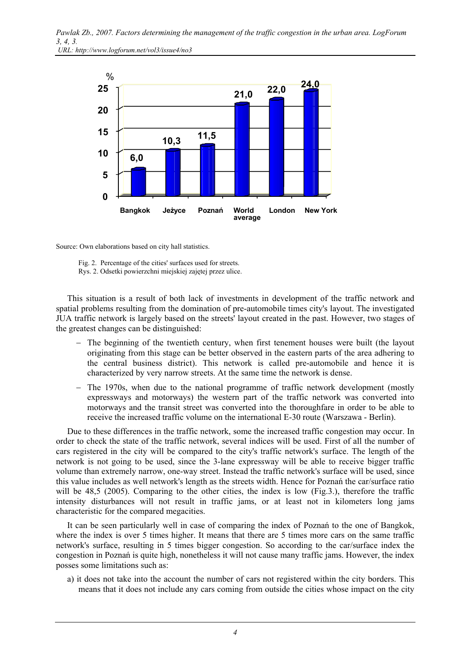

Source: Own elaborations based on city hall statistics.

 Fig. 2. Percentage of the cities' surfaces used for streets. Rys. 2. Odsetki powierzchni miejskiej zajętej przez ulice.

This situation is a result of both lack of investments in development of the traffic network and spatial problems resulting from the domination of pre-automobile times city's layout. The investigated JUA traffic network is largely based on the streets' layout created in the past. However, two stages of the greatest changes can be distinguished:

- − The beginning of the twentieth century, when first tenement houses were built (the layout originating from this stage can be better observed in the eastern parts of the area adhering to the central business district). This network is called pre-automobile and hence it is characterized by very narrow streets. At the same time the network is dense.
- − The 1970s, when due to the national programme of traffic network development (mostly expressways and motorways) the western part of the traffic network was converted into motorways and the transit street was converted into the thoroughfare in order to be able to receive the increased traffic volume on the international E-30 route (Warszawa - Berlin).

Due to these differences in the traffic network, some the increased traffic congestion may occur. In order to check the state of the traffic network, several indices will be used. First of all the number of cars registered in the city will be compared to the city's traffic network's surface. The length of the network is not going to be used, since the 3-lane expressway will be able to receive bigger traffic volume than extremely narrow, one-way street. Instead the traffic network's surface will be used, since this value includes as well network's length as the streets width. Hence for Poznań the car/surface ratio will be 48.5 (2005). Comparing to the other cities, the index is low (Fig.3.), therefore the traffic intensity disturbances will not result in traffic jams, or at least not in kilometers long jams characteristic for the compared megacities.

It can be seen particularly well in case of comparing the index of Poznań to the one of Bangkok, where the index is over 5 times higher. It means that there are 5 times more cars on the same traffic network's surface, resulting in 5 times bigger congestion. So according to the car/surface index the congestion in Poznań is quite high, nonetheless it will not cause many traffic jams. However, the index posses some limitations such as:

a) it does not take into the account the number of cars not registered within the city borders. This means that it does not include any cars coming from outside the cities whose impact on the city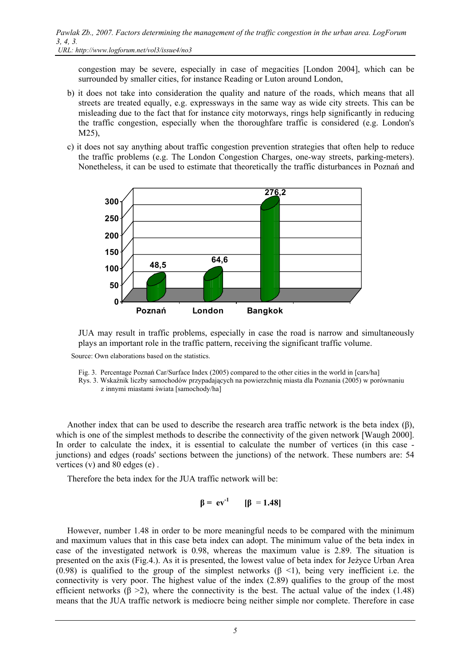congestion may be severe, especially in case of megacities [London 2004], which can be surrounded by smaller cities, for instance Reading or Luton around London,

- b) it does not take into consideration the quality and nature of the roads, which means that all streets are treated equally, e.g. expressways in the same way as wide city streets. This can be misleading due to the fact that for instance city motorways, rings help significantly in reducing the traffic congestion, especially when the thoroughfare traffic is considered (e.g. London's M25),
- c) it does not say anything about traffic congestion prevention strategies that often help to reduce the traffic problems (e.g. The London Congestion Charges, one-way streets, parking-meters). Nonetheless, it can be used to estimate that theoretically the traffic disturbances in Poznań and



JUA may result in traffic problems, especially in case the road is narrow and simultaneously plays an important role in the traffic pattern, receiving the significant traffic volume.

Source: Own elaborations based on the statistics.

- Fig. 3. Percentage Poznań Car/Surface Index (2005) compared to the other cities in the world in [cars/ha]
- Rys. 3. Wskaźnik liczby samochodów przypadających na powierzchnię miasta dla Poznania (2005) w porównaniu z innymi miastami świata [samochody/ha]

Another index that can be used to describe the research area traffic network is the beta index  $(\beta)$ , which is one of the simplest methods to describe the connectivity of the given network [Waugh 2000]. In order to calculate the index, it is essential to calculate the number of vertices (in this case junctions) and edges (roads' sections between the junctions) of the network. These numbers are: 54 vertices (v) and 80 edges (e) .

Therefore the beta index for the JUA traffic network will be:

$$
\beta = \mathrm{ev}^{-1} \qquad [\beta = 1.48]
$$

However, number 1.48 in order to be more meaningful needs to be compared with the minimum and maximum values that in this case beta index can adopt. The minimum value of the beta index in case of the investigated network is 0.98, whereas the maximum value is 2.89. The situation is presented on the axis (Fig.4.). As it is presented, the lowest value of beta index for Jeżyce Urban Area (0.98) is qualified to the group of the simplest networks ( $\beta$  <1), being very inefficient i.e. the connectivity is very poor. The highest value of the index (2.89) qualifies to the group of the most efficient networks ( $\beta > 2$ ), where the connectivity is the best. The actual value of the index (1.48) means that the JUA traffic network is mediocre being neither simple nor complete. Therefore in case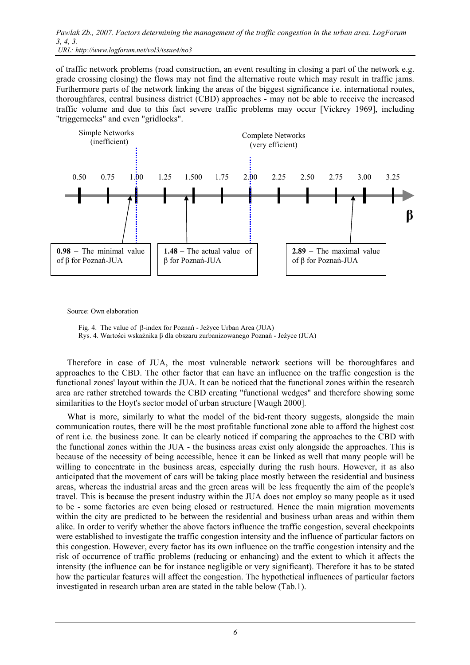of traffic network problems (road construction, an event resulting in closing a part of the network e.g. grade crossing closing) the flows may not find the alternative route which may result in traffic jams. Furthermore parts of the network linking the areas of the biggest significance i.e. international routes, thoroughfares, central business district (CBD) approaches - may not be able to receive the increased traffic volume and due to this fact severe traffic problems may occur [Vickrey 1969], including "triggernecks" and even "gridlocks".



Source: Own elaboration

 Fig. 4. The value of β-index for Poznań - Jeżyce Urban Area (JUA) Rys. 4. Wartości wskaźnika β dla obszaru zurbanizowanego Poznań - Jeżyce (JUA)

Therefore in case of JUA, the most vulnerable network sections will be thoroughfares and approaches to the CBD. The other factor that can have an influence on the traffic congestion is the functional zones' layout within the JUA. It can be noticed that the functional zones within the research area are rather stretched towards the CBD creating "functional wedges" and therefore showing some similarities to the Hoyt's sector model of urban structure [Waugh 2000].

What is more, similarly to what the model of the bid-rent theory suggests, alongside the main communication routes, there will be the most profitable functional zone able to afford the highest cost of rent i.e. the business zone. It can be clearly noticed if comparing the approaches to the CBD with the functional zones within the JUA - the business areas exist only alongside the approaches. This is because of the necessity of being accessible, hence it can be linked as well that many people will be willing to concentrate in the business areas, especially during the rush hours. However, it as also anticipated that the movement of cars will be taking place mostly between the residential and business areas, whereas the industrial areas and the green areas will be less frequently the aim of the people's travel. This is because the present industry within the JUA does not employ so many people as it used to be - some factories are even being closed or restructured. Hence the main migration movements within the city are predicted to be between the residential and business urban areas and within them alike. In order to verify whether the above factors influence the traffic congestion, several checkpoints were established to investigate the traffic congestion intensity and the influence of particular factors on this congestion. However, every factor has its own influence on the traffic congestion intensity and the risk of occurrence of traffic problems (reducing or enhancing) and the extent to which it affects the intensity (the influence can be for instance negligible or very significant). Therefore it has to be stated how the particular features will affect the congestion. The hypothetical influences of particular factors investigated in research urban area are stated in the table below (Tab.1).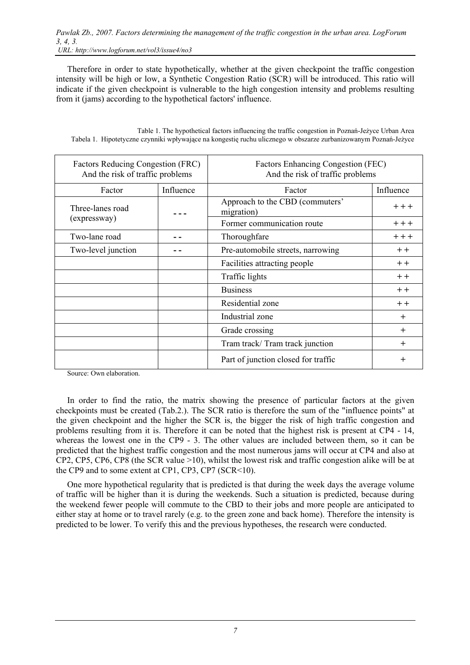Therefore in order to state hypothetically, whether at the given checkpoint the traffic congestion intensity will be high or low, a Synthetic Congestion Ratio (SCR) will be introduced. This ratio will indicate if the given checkpoint is vulnerable to the high congestion intensity and problems resulting from it (jams) according to the hypothetical factors' influence.

| Table 1. The hypothetical factors influencing the traffic congestion in Poznań-Jeżyce Urban Area                |
|-----------------------------------------------------------------------------------------------------------------|
| Tabela 1. Hipotetyczne czynniki wpływające na kongestię ruchu ulicznego w obszarze zurbanizowanym Poznań-Jeżyce |

| Factors Reducing Congestion (FRC)<br>And the risk of traffic problems |           | <b>Factors Enhancing Congestion (FEC)</b><br>And the risk of traffic problems |           |  |  |
|-----------------------------------------------------------------------|-----------|-------------------------------------------------------------------------------|-----------|--|--|
| Factor                                                                | Influence | Factor                                                                        | Influence |  |  |
| Three-lanes road                                                      |           | Approach to the CBD (commuters'<br>migration)                                 | $+ + +$   |  |  |
| (expressway)                                                          |           | Former communication route                                                    | $++$      |  |  |
| Two-lane road                                                         |           | Thoroughfare                                                                  | $++$      |  |  |
| Two-level junction                                                    |           | Pre-automobile streets, narrowing                                             | $+ +$     |  |  |
|                                                                       |           | Facilities attracting people                                                  | $+ +$     |  |  |
|                                                                       |           | Traffic lights                                                                | $+ +$     |  |  |
|                                                                       |           | <b>Business</b>                                                               | $+ +$     |  |  |
|                                                                       |           | Residential zone                                                              | $+ +$     |  |  |
|                                                                       |           | Industrial zone                                                               | $+$       |  |  |
|                                                                       |           | Grade crossing                                                                | $+$       |  |  |
|                                                                       |           | Tram track/Tram track junction                                                | $^{+}$    |  |  |
|                                                                       |           | Part of junction closed for traffic                                           | $^{+}$    |  |  |

Source: Own elaboration.

In order to find the ratio, the matrix showing the presence of particular factors at the given checkpoints must be created (Tab.2.). The SCR ratio is therefore the sum of the "influence points" at the given checkpoint and the higher the SCR is, the bigger the risk of high traffic congestion and problems resulting from it is. Therefore it can be noted that the highest risk is present at CP4 - 14, whereas the lowest one in the CP9 - 3. The other values are included between them, so it can be predicted that the highest traffic congestion and the most numerous jams will occur at CP4 and also at CP2, CP5, CP6, CP8 (the SCR value >10), whilst the lowest risk and traffic congestion alike will be at the CP9 and to some extent at CP1, CP3, CP7 (SCR<10).

One more hypothetical regularity that is predicted is that during the week days the average volume of traffic will be higher than it is during the weekends. Such a situation is predicted, because during the weekend fewer people will commute to the CBD to their jobs and more people are anticipated to either stay at home or to travel rarely (e.g. to the green zone and back home). Therefore the intensity is predicted to be lower. To verify this and the previous hypotheses, the research were conducted.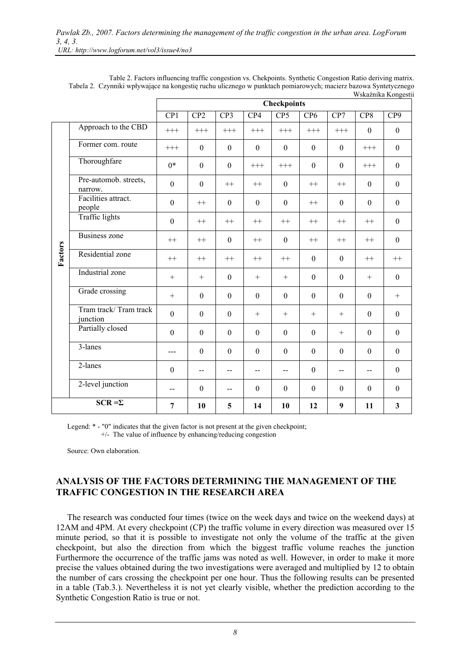|                |                                   | w skazilika Kongesu<br><b>Checkpoints</b> |                  |                  |                          |                  |                  |                  |                  |                  |
|----------------|-----------------------------------|-------------------------------------------|------------------|------------------|--------------------------|------------------|------------------|------------------|------------------|------------------|
|                |                                   | CP1                                       | CP <sub>2</sub>  | CP3              | CP4                      | CP <sub>5</sub>  | CP <sub>6</sub>  | CP7              | CP8              | CP9              |
| Factors        | Approach to the CBD               | $+++$                                     | $+++$            | $+++$            | $+++$                    | $+++$            | $+++$            | $^{+++}$         | $\boldsymbol{0}$ | $\mathbf{0}$     |
|                | Former com. route                 | $^{+++}$                                  | $\mathbf{0}$     | $\theta$         | $\boldsymbol{0}$         | $\boldsymbol{0}$ | $\boldsymbol{0}$ | $\boldsymbol{0}$ | $^{+++}$         | $\boldsymbol{0}$ |
|                | Thoroughfare                      | $0*$                                      | $\boldsymbol{0}$ | $\boldsymbol{0}$ | $^{+++}$                 | $^{+++}$         | $\boldsymbol{0}$ | $\boldsymbol{0}$ | $^{+++}$         | $\boldsymbol{0}$ |
|                | Pre-automob. streets,<br>narrow.  | $\boldsymbol{0}$                          | $\mathbf{0}$     | $^{++}$          | $++$                     | $\mathbf{0}$     | $++$             | $++$             | $\mathbf{0}$     | $\boldsymbol{0}$ |
|                | Facilities attract.<br>people     | $\boldsymbol{0}$                          | $^{++}$          | $\theta$         | $\boldsymbol{0}$         | $\boldsymbol{0}$ | $^{++}$          | $\boldsymbol{0}$ | $\boldsymbol{0}$ | $\boldsymbol{0}$ |
|                | <b>Traffic lights</b>             | $\boldsymbol{0}$                          | $^{++}$          | $^{++}$          | $^{++}$                  | $^{++}$          | $^{++}$          | $^{++}$          | $^{++}$          | $\boldsymbol{0}$ |
|                | <b>Business zone</b>              | $^{++}$                                   | $^{++}$          | $\boldsymbol{0}$ | $^{++}$                  | $\boldsymbol{0}$ | $^{++}$          | $++$             | $^{++}$          | $\boldsymbol{0}$ |
|                | Residential zone                  | $++$                                      | $++$             | $++$             | $^{++}$                  | $^{++}$          | $\mathbf{0}$     | $\mathbf{0}$     | $^{++}$          | $^{++}$          |
|                | Industrial zone                   | $^{+}$                                    | $^{+}$           | $\boldsymbol{0}$ | $^{+}$                   | $\! + \!\!\!\!$  | $\boldsymbol{0}$ | $\boldsymbol{0}$ | $^{+}$           | $\boldsymbol{0}$ |
|                | Grade crossing                    | $+$                                       | $\mathbf{0}$     | $\theta$         | $\mathbf{0}$             | $\mathbf{0}$     | $\mathbf{0}$     | $\mathbf{0}$     | $\mathbf{0}$     | $+$              |
|                | Tram track/Tram track<br>junction | $\mathbf{0}$                              | $\mathbf{0}$     | $\theta$         | $+$                      | $+$              | $^{+}$           | $+$              | $\boldsymbol{0}$ | $\boldsymbol{0}$ |
|                | Partially closed                  | $\boldsymbol{0}$                          | $\boldsymbol{0}$ | $\boldsymbol{0}$ | $\boldsymbol{0}$         | $\boldsymbol{0}$ | $\mathbf{0}$     | $+$              | $\boldsymbol{0}$ | $\boldsymbol{0}$ |
|                | 3-lanes                           | $---$                                     | $\boldsymbol{0}$ | $\boldsymbol{0}$ | $\boldsymbol{0}$         | $\boldsymbol{0}$ | $\boldsymbol{0}$ | $\boldsymbol{0}$ | $\boldsymbol{0}$ | $\boldsymbol{0}$ |
|                | 2-lanes                           | $\boldsymbol{0}$                          | --               | $-$              | $\overline{\phantom{a}}$ | --               | $\boldsymbol{0}$ | $-$              | $\overline{a}$   | $\mathbf{0}$     |
|                | 2-level junction                  | $\overline{\phantom{m}}$                  | $\theta$         | $\overline{a}$   | $\boldsymbol{0}$         | $\boldsymbol{0}$ | $\boldsymbol{0}$ | $\theta$         | $\mathbf{0}$     | $\mathbf{0}$     |
| $SCR = \Sigma$ |                                   | $\overline{7}$                            | 10               | 5                | 14                       | 10               | 12               | 9                | 11               | 3                |

Table 2. Factors influencing traffic congestion vs. Chekpoints. Synthetic Congestion Ratio deriving matrix. Tabela 2. Czynniki wpływające na kongestię ruchu ulicznego w punktach pomiarowych; macierz bazowa Syntetycznego  $W_{\text{obs}}$ śnika  $V$ 

Legend:  $*$  - "0" indicates that the given factor is not present at the given checkpoint; +/- The value of influence by enhancing/reducing congestion

Source: Own elaboration.

### **ANALYSIS OF THE FACTORS DETERMINING THE MANAGEMENT OF THE TRAFFIC CONGESTION IN THE RESEARCH AREA**

The research was conducted four times (twice on the week days and twice on the weekend days) at 12AM and 4PM. At every checkpoint (CP) the traffic volume in every direction was measured over 15 minute period, so that it is possible to investigate not only the volume of the traffic at the given checkpoint, but also the direction from which the biggest traffic volume reaches the junction Furthermore the occurrence of the traffic jams was noted as well. However, in order to make it more precise the values obtained during the two investigations were averaged and multiplied by 12 to obtain the number of cars crossing the checkpoint per one hour. Thus the following results can be presented in a table (Tab.3.). Nevertheless it is not yet clearly visible, whether the prediction according to the Synthetic Congestion Ratio is true or not.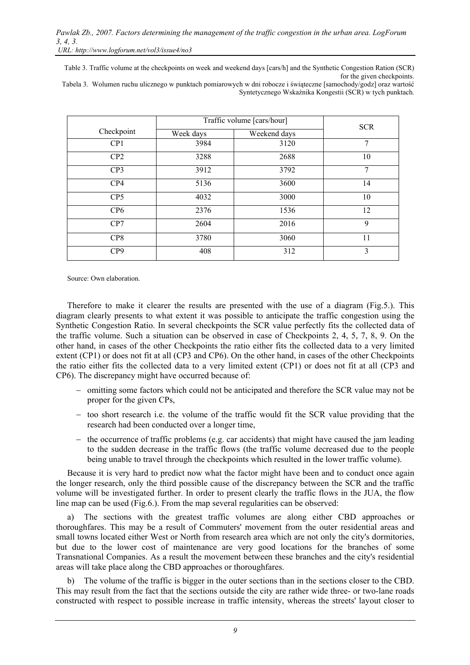*URL: http://www.logforum.net/vol3/issue4/no3* 

Table 3. Traffic volume at the checkpoints on week and weekend days [cars/h] and the Synthetic Congestion Ration (SCR) for the given checkpoints.

Tabela 3. Wolumen ruchu ulicznego w punktach pomiarowych w dni robocze i świąteczne [samochody/godz] oraz wartość Syntetycznego Wskaźnika Kongestii (SCR) w tych punktach.

|                 | Traffic volume [cars/hour] | <b>SCR</b>   |    |  |  |
|-----------------|----------------------------|--------------|----|--|--|
| Checkpoint      | Week days                  | Weekend days |    |  |  |
| CP <sub>1</sub> | 3984                       | 3120         | 7  |  |  |
| CP2             | 3288                       | 2688         | 10 |  |  |
| CP <sub>3</sub> | 3912                       | 3792         | 7  |  |  |
| CP4             | 5136                       | 3600         | 14 |  |  |
| CP <sub>5</sub> | 4032                       | 3000         | 10 |  |  |
| CP <sub>6</sub> | 2376                       | 1536         | 12 |  |  |
| CP7             | 2604                       | 2016         | 9  |  |  |
| CP <sub>8</sub> | 3780                       | 3060         | 11 |  |  |
| CP <sub>9</sub> | 408                        | 312          | 3  |  |  |

Source: Own elaboration.

Therefore to make it clearer the results are presented with the use of a diagram (Fig.5.). This diagram clearly presents to what extent it was possible to anticipate the traffic congestion using the Synthetic Congestion Ratio. In several checkpoints the SCR value perfectly fits the collected data of the traffic volume. Such a situation can be observed in case of Checkpoints 2, 4, 5, 7, 8, 9. On the other hand, in cases of the other Checkpoints the ratio either fits the collected data to a very limited extent (CP1) or does not fit at all (CP3 and CP6). On the other hand, in cases of the other Checkpoints the ratio either fits the collected data to a very limited extent (CP1) or does not fit at all (CP3 and CP6). The discrepancy might have occurred because of:

- − omitting some factors which could not be anticipated and therefore the SCR value may not be proper for the given CPs,
- − too short research i.e. the volume of the traffic would fit the SCR value providing that the research had been conducted over a longer time,
- − the occurrence of traffic problems (e.g. car accidents) that might have caused the jam leading to the sudden decrease in the traffic flows (the traffic volume decreased due to the people being unable to travel through the checkpoints which resulted in the lower traffic volume).

Because it is very hard to predict now what the factor might have been and to conduct once again the longer research, only the third possible cause of the discrepancy between the SCR and the traffic volume will be investigated further. In order to present clearly the traffic flows in the JUA, the flow line map can be used (Fig.6.). From the map several regularities can be observed:

a) The sections with the greatest traffic volumes are along either CBD approaches or thoroughfares. This may be a result of Commuters' movement from the outer residential areas and small towns located either West or North from research area which are not only the city's dormitories, but due to the lower cost of maintenance are very good locations for the branches of some Transnational Companies. As a result the movement between these branches and the city's residential areas will take place along the CBD approaches or thoroughfares.

b) The volume of the traffic is bigger in the outer sections than in the sections closer to the CBD. This may result from the fact that the sections outside the city are rather wide three- or two-lane roads constructed with respect to possible increase in traffic intensity, whereas the streets' layout closer to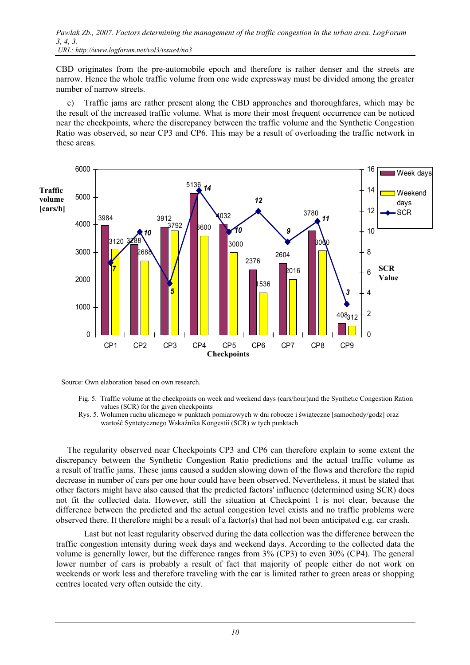*Pawlak Zb., 2007. Factors determining the management of the traffic congestion in the urban area. LogForum 3, 4, 3.* 

 *URL: http://www.logforum.net/vol3/issue4/no3* 

CBD originates from the pre-automobile epoch and therefore is rather denser and the streets are narrow. Hence the whole traffic volume from one wide expressway must be divided among the greater number of narrow streets.

c) Traffic jams are rather present along the CBD approaches and thoroughfares, which may be the result of the increased traffic volume. What is more their most frequent occurrence can be noticed near the checkpoints, where the discrepancy between the traffic volume and the Synthetic Congestion Ratio was observed, so near CP3 and CP6. This may be a result of overloading the traffic network in these areas.



Source: Own elaboration based on own research.

- Fig. 5. Traffic volume at the checkpoints on week and weekend days (cars/hour)and the Synthetic Congestion Ration values (SCR) for the given checkpoints
- Rys. 5. Wolumen ruchu ulicznego w punktach pomiarowych w dni robocze i świąteczne [samochody/godz] oraz wartość Syntetycznego Wskaźnika Kongestii (SCR) w tych punktach

The regularity observed near Checkpoints CP3 and CP6 can therefore explain to some extent the discrepancy between the Synthetic Congestion Ratio predictions and the actual traffic volume as a result of traffic jams. These jams caused a sudden slowing down of the flows and therefore the rapid decrease in number of cars per one hour could have been observed. Nevertheless, it must be stated that other factors might have also caused that the predicted factors' influence (determined using SCR) does not fit the collected data. However, still the situation at Checkpoint 1 is not clear, because the difference between the predicted and the actual congestion level exists and no traffic problems were observed there. It therefore might be a result of a factor(s) that had not been anticipated e.g. car crash.

 Last but not least regularity observed during the data collection was the difference between the traffic congestion intensity during week days and weekend days. According to the collected data the volume is generally lower, but the difference ranges from 3% (CP3) to even 30% (CP4). The general lower number of cars is probably a result of fact that majority of people either do not work on weekends or work less and therefore traveling with the car is limited rather to green areas or shopping centres located very often outside the city.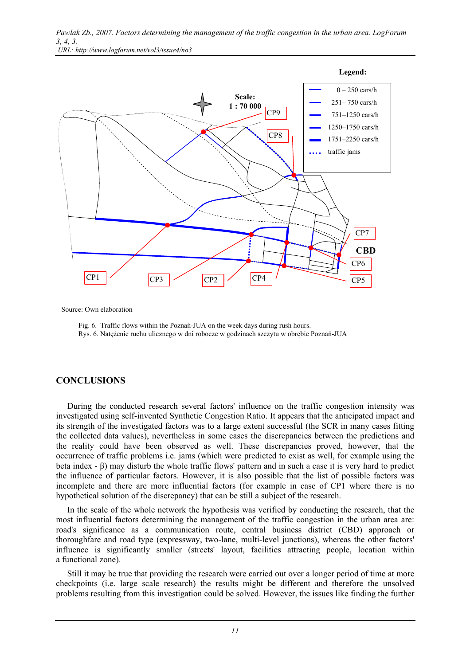



Source: Own elaboration

 Fig. 6. Traffic flows within the Poznań-JUA on the week days during rush hours. Rys. 6. Natężenie ruchu ulicznego w dni robocze w godzinach szczytu w obrębie Poznań-JUA

### **CONCLUSIONS**

During the conducted research several factors' influence on the traffic congestion intensity was investigated using self-invented Synthetic Congestion Ratio. It appears that the anticipated impact and its strength of the investigated factors was to a large extent successful (the SCR in many cases fitting the collected data values), nevertheless in some cases the discrepancies between the predictions and the reality could have been observed as well. These discrepancies proved, however, that the occurrence of traffic problems i.e. jams (which were predicted to exist as well, for example using the beta index - β) may disturb the whole traffic flows' pattern and in such a case it is very hard to predict the influence of particular factors. However, it is also possible that the list of possible factors was incomplete and there are more influential factors (for example in case of CP1 where there is no hypothetical solution of the discrepancy) that can be still a subject of the research.

In the scale of the whole network the hypothesis was verified by conducting the research, that the most influential factors determining the management of the traffic congestion in the urban area are: road's significance as a communication route, central business district (CBD) approach or thoroughfare and road type (expressway, two-lane, multi-level junctions), whereas the other factors' influence is significantly smaller (streets' layout, facilities attracting people, location within a functional zone).

Still it may be true that providing the research were carried out over a longer period of time at more checkpoints (i.e. large scale research) the results might be different and therefore the unsolved problems resulting from this investigation could be solved. However, the issues like finding the further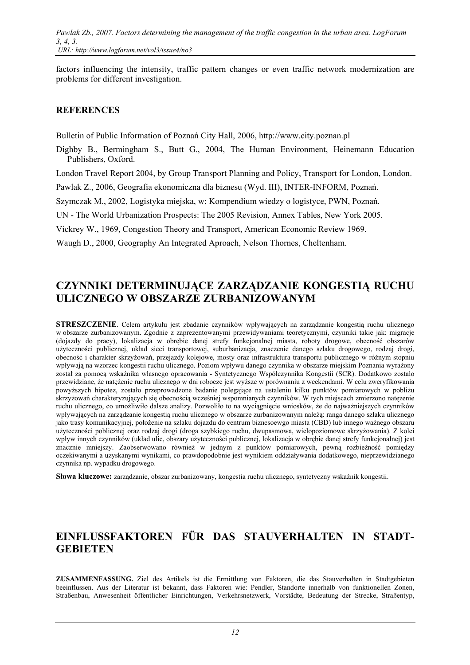factors influencing the intensity, traffic pattern changes or even traffic network modernization are problems for different investigation.

### **REFERENCES**

Bulletin of Public Information of Poznań City Hall, 2006, http://www.city.poznan.pl

Dighby B., Bermingham S., Butt G., 2004, The Human Environment, Heinemann Education Publishers, Oxford.

London Travel Report 2004, by Group Transport Planning and Policy, Transport for London, London.

Pawlak Z., 2006, Geografia ekonomiczna dla biznesu (Wyd. III), INTER-INFORM, Poznań.

Szymczak M., 2002, Logistyka miejska, w: Kompendium wiedzy o logistyce, PWN, Poznań.

UN - The World Urbanization Prospects: The 2005 Revision, Annex Tables, New York 2005.

Vickrey W., 1969, Congestion Theory and Transport, American Economic Review 1969.

Waugh D., 2000, Geography An Integrated Aproach, Nelson Thornes, Cheltenham.

# **CZYNNIKI DETERMINUJĄCE ZARZĄDZANIE KONGESTIĄ RUCHU ULICZNEGO W OBSZARZE ZURBANIZOWANYM**

**STRESZCZENIE**. Celem artykułu jest zbadanie czynników wpływających na zarządzanie kongestią ruchu ulicznego w obszarze zurbanizowanym. Zgodnie z zaprezentowanymi przewidywaniami teoretycznymi, czynniki takie jak: migracje (dojazdy do pracy), lokalizacja w obrębie danej strefy funkcjonalnej miasta, roboty drogowe, obecność obszarów użyteczności publicznej, układ sieci transportowej, suburbanizacja, znaczenie danego szlaku drogowego, rodzaj drogi, obecność i charakter skrzyżowań, przejazdy kolejowe, mosty oraz infrastruktura transportu publicznego w różnym stopniu wpływają na wzorzec kongestii ruchu ulicznego. Poziom wpływu danego czynnika w obszarze miejskim Poznania wyrażony został za pomocą wskaźnika własnego opracowania - Syntetycznego Współczynnika Kongestii (SCR). Dodatkowo zostało przewidziane, że natężenie ruchu ulicznego w dni robocze jest wyższe w porównaniu z weekendami. W celu zweryfikowania powyższych hipotez, zostało przeprowadzone badanie polegające na ustaleniu kilku punktów pomiarowych w pobliżu skrzyżowań charakteryzujących się obecnością wcześniej wspomnianych czynników. W tych miejscach zmierzono natężenie ruchu ulicznego, co umożliwiło dalsze analizy. Pozwoliło to na wyciągnięcie wniosków, że do najważniejszych czynników wpływających na zarządzanie kongestią ruchu ulicznego w obszarze zurbanizowanym należą: ranga danego szlaku ulicznego jako trasy komunikacyjnej, położenie na szlaku dojazdu do centrum biznesoewgo miasta (CBD) lub innego ważnego obszaru użyteczności poblicznej oraz rodzaj drogi (droga szybkiego ruchu, dwupasmowa, wielopoziomowe skrzyżowania). Z kolei wpływ innych czynników (układ ulic, obszary użyteczności publicznej, lokalizacja w obrębie danej strefy funkcjonalnej) jest znacznie mniejszy. Zaobserwowano również w jednym z punktów pomiarowych, pewną rozbieżność pomiędzy oczekiwanymi a uzyskanymi wynikami, co prawdopodobnie jest wynikiem oddziaływania dodatkowego, nieprzewidzianego czynnika np. wypadku drogowego.

**Słowa kluczowe:** zarządzanie, obszar zurbanizowany, kongestia ruchu ulicznego, syntetyczny wskaźnik kongestii.

# **EINFLUSSFAKTOREN FÜR DAS STAUVERHALTEN IN STADT-GEBIETEN**

**ZUSAMMENFASSUNG.** Ziel des Artikels ist die Ermittlung von Faktoren, die das Stauverhalten in Stadtgebieten beeinflussen. Aus der Literatur ist bekannt, dass Faktoren wie: Pendler, Standorte innerhalb von funktionellen Zonen, Straßenbau, Anwesenheit öffentlicher Einrichtungen, Verkehrsnetzwerk, Vorstädte, Bedeutung der Strecke, Straßentyp,